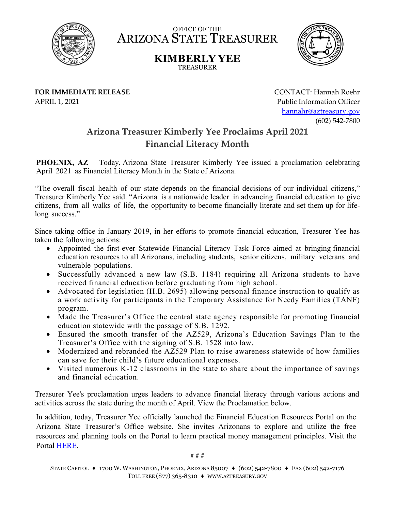

OFFICE OF THE ARIZONA STATE TREASURER

> **KIMBERLY YEE** TREASURER



**FOR IMMEDIATE RELEASE** APRIL 1, 2021

CONTACT: Hannah Roehr Public Information Officer [hannahr@aztreasury.gov](mailto:hannahr@aztreasury.gov) (602) 542-7800

## **Arizona Treasurer Kimberly Yee Proclaims April 2021 Financial Literacy Month**

**PHOENIX, AZ** – Today, Arizona State Treasurer Kimberly Yee issued a proclamation celebrating April 2021 as Financial Literacy Month in the State of Arizona.

"The overall fiscal health of our state depends on the financial decisions of our individual citizens," Treasurer Kimberly Yee said. "Arizona is a nationwide leader in advancing financial education to give citizens, from all walks of life, the opportunity to become financially literate and set them up for lifelong success."

Since taking office in January 2019, in her efforts to promote financial education, Treasurer Yee has taken the following actions:

- Appointed the first-ever Statewide Financial Literacy Task Force aimed at bringing financial education resources to all Arizonans, including students, senior citizens, military veterans and vulnerable populations.
- Successfully advanced a new law (S.B. 1184) requiring all Arizona students to have received financial education before graduating from high school.
- Advocated for legislation (H.B. 2695) allowing personal finance instruction to qualify as a work activity for participants in the Temporary Assistance for Needy Families (TANF) program.
- Made the Treasurer's Office the central state agency responsible for promoting financial education statewide with the passage of S.B. 1292.
- Ensured the smooth transfer of the AZ529, Arizona's Education Savings Plan to the Treasurer's Office with the signing of S.B. 1528 into law.
- Modernized and rebranded the AZ529 Plan to raise awareness statewide of how families can save for their child's future educational expenses.
- Visited numerous K-12 classrooms in the state to share about the importance of savings and financial education.

Treasurer Yee's proclamation urges leaders to advance financial literacy through various actions and activities across the state during the month of April. View the Proclamation below.

In addition, today, Treasurer Yee officially launched the Financial Education Resources Portal on the Arizona State Treasurer's Office website. She invites Arizonans to explore and utilize the free resources and planning tools on the Portal to learn practical money management principles. Visit the Portal [HERE.](https://www.aztreasury.gov/financial-education) 

# # #